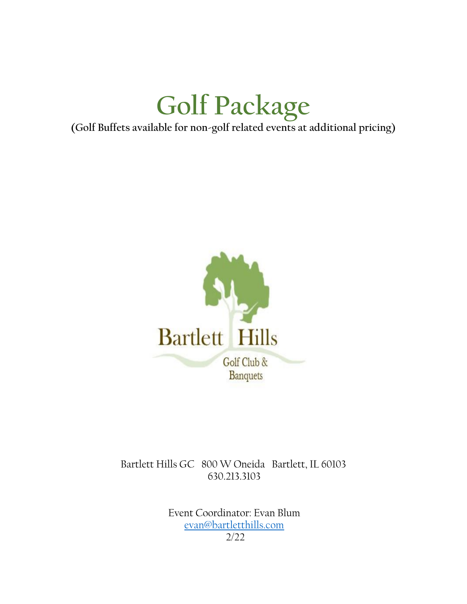# **Golf Package**

**(Golf Buffets available for non-golf related events at additional pricing)**



Bartlett Hills GC 800 W Oneida Bartlett, IL 60103 630.213.3103

> Event Coordinator: Evan Blum [evan@bartletthills.com](mailto:evan@bartletthills.com) 2/22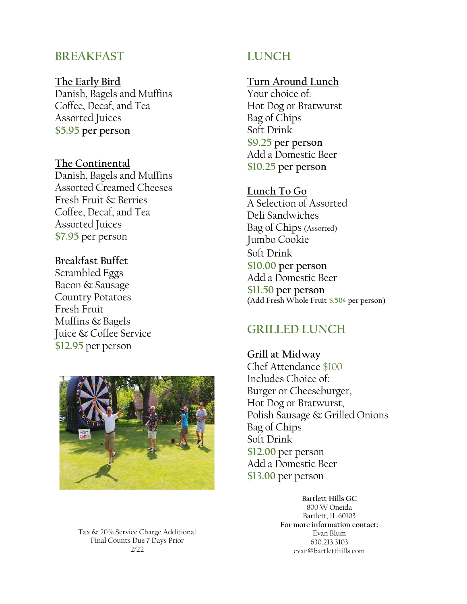# **BREAKFAST**

#### **The Early Bird**

Danish, Bagels and Muffins Coffee, Decaf, and Tea Assorted Juices **\$5.95 per person**

#### **The Continental**

Danish, Bagels and Muffins Assorted Creamed Cheeses Fresh Fruit & Berries Coffee, Decaf, and Tea Assorted Juices **\$7.95** per person

## **Breakfast Buffet**

Scrambled Eggs Bacon & Sausage Country Potatoes Fresh Fruit Muffins & Bagels Juice & Coffee Service **\$12.95** per person



Tax & 20% Service Charge Additional Final Counts Due 7 Days Prior 2/22

# **LUNCH**

# **Turn Around Lunch**

Your choice of: Hot Dog or Bratwurst Bag of Chips Soft Drink **\$9.25 per person** Add a Domestic Beer **\$10.25 per person**

#### **Lunch To Go**

A Selection of Assorted Deli Sandwiches Bag of Chips (Assorted) Jumbo Cookie Soft Drink **\$10.00 per person** Add a Domestic Beer **\$11.50 per person (Add Fresh Whole Fruit \$.50¢ per person)**

# **GRILLED LUNCH**

**Grill at Midway** Chef Attendance \$100 Includes Choice of: Burger or Cheeseburger, Hot Dog or Bratwurst, Polish Sausage & Grilled Onions Bag of Chips Soft Drink **\$12.00** per person Add a Domestic Beer **\$13.00** per person

> **Bartlett Hills GC** 800 W Oneida Bartlett, IL 60103 **For more information contact:** Evan Blum 630.213.3103 evan@bartletthills.com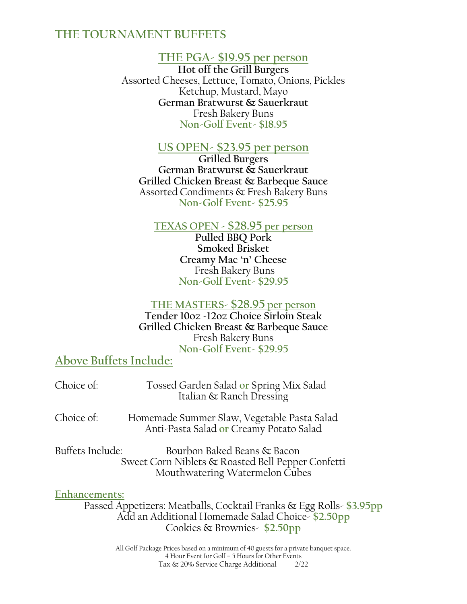# **THE TOURNAMENT BUFFETS**

# **THE PGA- \$19.95 per person**

**Hot off the Grill Burgers** Assorted Cheeses, Lettuce, Tomato, Onions, Pickles Ketchup, Mustard, Mayo **German Bratwurst & Sauerkraut** Fresh Bakery Buns **Non-Golf Event- \$18.95**

#### **US OPEN- \$23.95 per person**

**Grilled Burgers German Bratwurst & Sauerkraut Grilled Chicken Breast & Barbeque Sauce** Assorted Condiments & Fresh Bakery Buns **Non-Golf Event- \$25.95**

#### **TEXAS OPEN - \$28.95 per person**

**Pulled BBQ Pork Smoked Brisket Creamy Mac 'n' Cheese** Fresh Bakery Buns **Non-Golf Event- \$29.95**

#### **THE MASTERS- \$28.95 per person Tender 10oz -12oz Choice Sirloin Steak Grilled Chicken Breast & Barbeque Sauce** Fresh Bakery Buns **Non-Golf Event- \$29.95**

# **Above Buffets Include:**

| Choice of:                        | Tossed Garden Salad or Spring Mix Salad<br>Italian & Ranch Dressing                                                |
|-----------------------------------|--------------------------------------------------------------------------------------------------------------------|
| Choice of:                        | Homemade Summer Slaw, Vegetable Pasta Salad<br>Anti-Pasta Salad or Creamy Potato Salad                             |
| Buffets Include:<br><b>E., 1.</b> | Bourbon Baked Beans & Bacon<br>Sweet Corn Niblets & Roasted Bell Pepper Confetti<br>Mouthwatering Watermelon Cubes |

#### **Enhancements:**

Passed Appetizers: Meatballs, Cocktail Franks & Egg Rolls- **\$3.95pp** Add an Additional Homemade Salad Choice- **\$2.50pp** Cookies & Brownies- **\$2.50pp**

> All Golf Package Prices based on a minimum of 40 guests for a private banquet space. 4 Hour Event for Golf – 5 Hours for Other Events Tax & 20% Service Charge Additional 2/22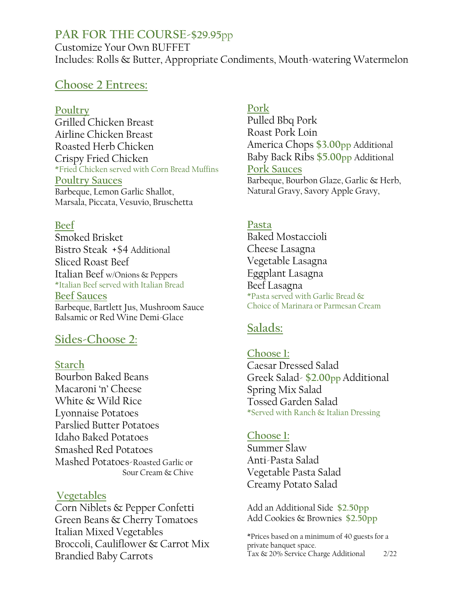# **PAR FOR THE COURSE-\$29.95**pp

Customize Your Own BUFFET Includes: Rolls & Butter, Appropriate Condiments, Mouth-watering Watermelon

# **Choose 2 Entrees:**

#### **Poultry**

Grilled Chicken Breast Airline Chicken Breast Roasted Herb Chicken Crispy Fried Chicken \*Fried Chicken served with Corn Bread Muffins **Poultry Sauces** Barbeque, Lemon Garlic Shallot, Marsala, Piccata, Vesuvio, Bruschetta

## **Beef**

Smoked Brisket Bistro Steak +\$4 Additional Sliced Roast Beef Italian Beef w/Onions & Peppers \*Italian Beef served with Italian Bread **Beef Sauces** Barbeque, Bartlett Jus, Mushroom Sauce Balsamic or Red Wine Demi-Glace

# **Sides-Choose 2:**

#### **Starch**

Bourbon Baked Beans Macaroni 'n' Cheese White & Wild Rice Lyonnaise Potatoes Parslied Butter Potatoes Idaho Baked Potatoes Smashed Red Potatoes Mashed Potatoes-Roasted Garlic or Sour Cream & Chive

#### **Vegetables**

Corn Niblets & Pepper Confetti Green Beans & Cherry Tomatoes Italian Mixed Vegetables Broccoli, Cauliflower & Carrot Mix Brandied Baby Carrots

## **Pork**

Pulled Bbq Pork Roast Pork Loin America Chops **\$3.00pp** Additional Baby Back Ribs **\$5.00pp** Additional **Pork Sauces** Barbeque, Bourbon Glaze, Garlic & Herb, Natural Gravy, Savory Apple Gravy,

## **Pasta**

Baked Mostaccioli Cheese Lasagna Vegetable Lasagna Eggplant Lasagna Beef Lasagna \*Pasta served with Garlic Bread & Choice of Marinara or Parmesan Cream

# **Salads:**

# **Choose 1:**

Caesar Dressed Salad Greek Salad- **\$2.00pp** Additional Spring Mix Salad Tossed Garden Salad \*Served with Ranch & Italian Dressing

# **Choose 1:**

Summer Slaw Anti-Pasta Salad Vegetable Pasta Salad Creamy Potato Salad

Add an Additional Side **\$2.50pp** Add Cookies & Brownies **\$2.50pp**

\*Prices based on a minimum of 40 guests for a private banquet space. Tax & 20% Service Charge Additional 2/22